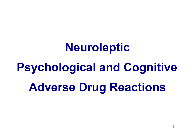## **Neuroleptic**

# **Psychological and Cognitive Adverse Drug Reactions**

1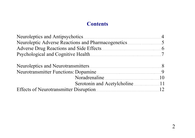#### **Contents**

| Neuroleptics and Antipsychotics        |  |
|----------------------------------------|--|
|                                        |  |
|                                        |  |
| Psychological and Cognitive Health     |  |
|                                        |  |
| Neuroleptics and Neurotransmitters     |  |
| Neurotransmitter Functions: Dopamine   |  |
| Noradrenaline                          |  |
| Serotonin and Acetylcholine 11         |  |
| Effects of Neurotransmitter Disruption |  |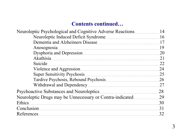#### **Contents continued…**

| Neuroleptic Psychological and Cognitive Adverse Reactions | 14 |
|-----------------------------------------------------------|----|
|                                                           |    |
| Dementia and Alzheimers Disease                           | 17 |
| Anosognosia                                               | 19 |
| Dysphoria and Depression                                  | 20 |
| Akathisia                                                 | 21 |
| Suicide                                                   | 22 |
| Violence and Aggression                                   | 24 |
|                                                           | 25 |
|                                                           | 26 |
| Withdrawal and Dependency                                 | 27 |
|                                                           | 28 |
| Neuroleptic Drugs may be Unnecessary or Contra-indicated  | 29 |
| Ethics                                                    | 30 |
| Conclusion                                                | 31 |
| References                                                |    |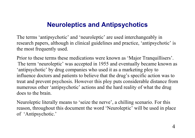## **Neuroleptics and Antipsychotics**

The terms 'antipsychotic' and 'neuroleptic' are used interchangeably in research papers, although in clinical guidelines and practice, 'antipsychotic' is the most frequently used.

Prior to these terms these medications were known as 'Major Tranquillisers'. The term 'neuroleptic' was accepted in 1955 and eventually became known as 'antipsychotic' by drug companies who used it as a marketing ploy to influence doctors and patients to believe that the drug's specific action was to treat and prevent psychosis. However this ploy puts considerable distance from numerous other 'antipsychotic' actions and the hard reality of what the drug does to the brain.

Neuroleptic literally means to 'seize the nerve', a chilling scenario. For this reason, throughout this document the word 'Neuroleptic' will be used in place of 'Antipsychotic.'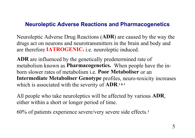#### **Neuroleptic Adverse Reactions and Pharmacogenetics**

Neuroleptic Adverse Drug Reactions (**ADR**) are caused by the way the drugs act on neurons and neurotransmitters in the brain and body and are therefore **IATROGENIC.** i.e. neuroleptic induced.

**ADR** are influenced by the genetically predetermined rate of metabolism known as **Pharmacogenetics.** When people have the in born slower rates of metabolism i.e. **Poor Metaboliser** or an **Intermediate Metaboliser Genotype** profiles, neuro-toxicity increases which is associated with the severity of **ADR**.<sup>1&2</sup>

All people who take neuroleptics will be affected by various **ADR**, either within a short or longer period of time.

60% of patients experience severe/very severe side effects. **3**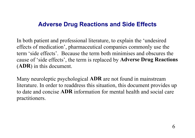## **Adverse Drug Reactions and Side Effects**

In both patient and professional literature, to explain the 'undesired effects of medication', pharmaceutical companies commonly use the term 'side effects'. Because the term both minimises and obscures the cause of 'side effects', the term is replaced by **Adverse Drug Reactions** (**ADR**) in this document.

Many neuroleptic psychological **ADR** are not found in mainstream literature. In order to readdress this situation, this document provides up to date and concise **ADR** information for mental health and social care practitioners.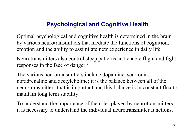## **Psychological and Cognitive Health**

Optimal psychological and cognitive health is determined in the brain by various neurotransmitters that mediate the functions of cognition, emotion and the ability to assimilate new experience in daily life. .

Neurotransmitters also control sleep patterns and enable flight and fight responses in the face of danger.**<sup>4</sup>**

The various neurotransmitters include dopamine, serotonin, noradrenaline and acetylcholine; it is the balance between all of the neurotransmitters that is important and this balance is in constant flux to maintain long term stability.

To understand the importance of the roles played by neurotransmitters, it is necessary to understand the individual neurotransmitter functions.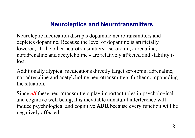## **Neuroleptics and Neurotransmitters**

Neuroleptic medication disrupts dopamine neurotransmitters and depletes dopamine. Because the level of dopamine is artificially lowered, all the other neurotransmitters - serotonin, adrenaline, noradrenaline and acetylcholine - are relatively affected and stability is lost.

Additionally atypical medications directly target serotonin, adrenaline, nor adrenaline and acetylcholine neurotransmitters further compounding the situation.

Since *all* these neurotransmitters play important roles in psychological and cognitive well being, it is inevitable unnatural interference will induce psychological and cognitive **ADR** because every function will be negatively affected.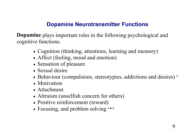## **Dopamine Neurotransmitter Functions**

**Dopamine** plays important roles in the following psychological and cognitive functions.

- Cognition (thinking, attentions, learning and memory)
- Affect (feeling, mood and emotion)
- Sensation of pleasure
- Sexual desire
- Behaviour (compulsions, stereotypies, addictions and desires) **<sup>5</sup>**
- Motivation
- Attachment
- Altruism (unselfish concern for others)
- Positive reinforcement (reward)
- Focusing, and problem solving <sup>4&6</sup>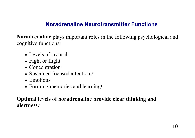## **Noradrenaline Neurotransmitter Functions**

**Noradrenaline** plays important roles in the following psychological and cognitive functions:

- Levels of arousal
- Fight or flight
- Concentration<sup>7</sup>
- Sustained focused attention.**<sup>7</sup>**
- Emotions
- Forming memories and learning**<sup>4</sup>**

#### **Optimal levels of noradrenaline provide clear thinking and alertness.7**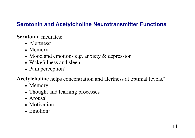#### **Serotonin and Acetylcholine Neurotransmitter Functions**

## **Serotonin** mediates:

- Alertness**<sup>4</sup>**
- Memory
- Mood and emotions e.g. anxiety & depression
- Wakefulness and sleep
- Pain perception**<sup>8</sup>**

**Acetylcholine** helps concentration and alertness at optimal levels.**<sup>7</sup>**

- Memory
- Thought and learning processes
- Arousal
- Motivation
- Emotion**<sup>4</sup>**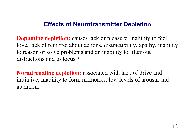## **Effects of Neurotransmitter Depletion**

**Dopamine depletion:** causes lack of pleasure, inability to feel love, lack of remorse about actions, distractibility, apathy, inability to reason or solve problems and an inability to filter out distractions and to focus.**<sup>7</sup>**

**Noradrenaline depletion:** associated with lack of drive and initiative, inability to form memories, low levels of arousal and attention.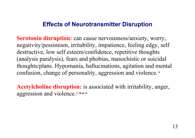## **Effects of Neurotransmitter Disruption**

**Serotonin disruption:** can cause nervousness/anxiety, worry, negativity/pessimism, irritability, impatience, feeling edgy, self destructive, low self esteem/confidence, repetitive thoughts (analysis paralysis), fears and phobias, masochistic or suicidal thoughts/plans. Hypomania, hallucinations, agitation and mental confusion, change of personality, aggression and violence.**<sup>9</sup>**

**Acetylcholine disruption:** is associated with irritability, anger, aggression and violence.**7, 10 & 11**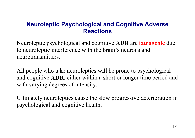## **Neuroleptic Psychological and Cognitive Adverse Reactions**

Neuroleptic psychological and cognitive **ADR** are **iatrogenic** due to neuroleptic interference with the brain's neurons and neurotransmitters.

All people who take neuroleptics will be prone to psychological and cognitive **ADR**, either within a short or longer time period and with varying degrees of intensity.

Ultimately neuroleptics cause the slow progressive deterioration in psychological and cognitive health.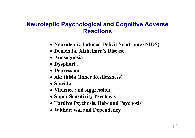## **Neuroleptic Psychological and Cognitive Adverse Reactions**

- **Neuroleptic Induced Deficit Syndrome (NIDS)**
- **Dementia, Alzheimer's Disease**
- **Anosognosia**
- **Dysphoria**
- **Depression**
- **Akathisia (Inner Restlessness)**
- **Suicide**
- **Violence and Aggression**
- **Super Sensitivity Psychosis**
- **Tardive Psychosis, Rebound Psychosis**
- **Withdrawal and Dependency**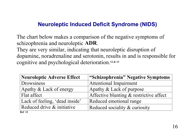## **Neuroleptic Induced Deficit Syndrome (NIDS)**

The chart below makes a comparison of the negative symptoms of schizophrenia and neuroleptic **ADR**.

They are very similar, indicating that neuroleptic disruption of dopamine, noradrenaline and serotonin, results in and is responsible for cognitive and psychological deterioration.**12 & 13**

| <b>Neuroleptic Adverse Effect</b> | "Schizophrenia" Negative Symptoms       |
|-----------------------------------|-----------------------------------------|
| Drowsiness                        | <b>Attentional Impairment</b>           |
| Apathy & Lack of energy           | Apathy & Lack of purpose                |
| Flat affect                       | Affective blunting & restrictive affect |
| Lack of feeling, 'dead inside'    | Reduced emotional range                 |
| Reduced drive & initiative        | Reduced sociality & curiosity           |
| <b>Ref</b> 12                     |                                         |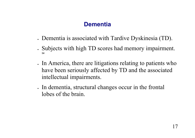## **Dementia**

- Dementia is associated with Tardive Dyskinesia (TD).
- Subjects with high TD scores had memory impairment. **14**
- In America, there are litigations relating to patients who have been seriously affected by TD and the associated intellectual impairments.
- In dementia, structural changes occur in the frontal lobes of the brain.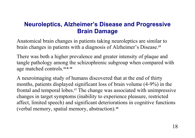## **Neuroleptics, Alzheimer's Disease and Progressive Brain Damage**

Anatomical brain changes in patients taking neuroleptics are similar to brain changes in patients with a diagnosis of Alzheimer's Disease.**<sup>15</sup>**

There was both a higher prevalence and greater intensity of plaque and tangle pathology among the schizophrenic subgroup when compared with age matched controls.**16 & 10**

A neuroimaging study of humans discovered that at the end of thirty months, patients displayed significant loss of brain volume (4-9%) in the frontal and temporal lobes.**17** The change was associated with unimpressive changes in target symptoms (inability to experience pleasure, restricted affect, limited speech) and significant deteriorations in cognitive functions (verbal memory, spatial memory, abstraction).**10**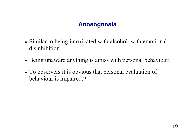## **Anosognosia**

- Similar to being intoxicated with alcohol, with emotional disinhibition.
- Being unaware anything is amiss with personal behaviour.
- To observers it is obvious that personal evaluation of behaviour is impaired.**18**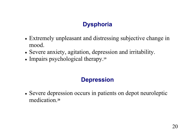## **Dysphoria**

- Extremely unpleasant and distressing subjective change in mood.
- Severe anxiety, agitation, depression and irritability.
- Impairs psychological therapy.<sup>19</sup>

## **Depression**

• Severe depression occurs in patients on depot neuroleptic medication.**20**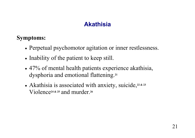## **Akathisia**

## **Symptoms:**

- Perpetual psychomotor agitation or inner restlessness.
- Inability of the patient to keep still.
- 47% of mental health patients experience akathisia, dysphoria and emotional flattening.**<sup>21</sup>**
- Akathisia is associated with anxiety, suicide,**22 & 23** Violence**24 & 25** and murder.**<sup>26</sup>**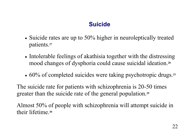## **Suicide**

- Suicide rates are up to 50% higher in neuroleptically treated patients.**<sup>27</sup>**
- Intolerable feelings of akathisia together with the distressing mood changes of dysphoria could cause suicidal ideation.**<sup>28</sup>**
- 60% of completed suicides were taking psychotropic drugs.**<sup>23</sup>**

The suicide rate for patients with schizophrenia is 20-50 times greater than the suicide rate of the general population.**<sup>29</sup>**

Almost 50% of people with schizophrenia will attempt suicide in their lifetime.**30**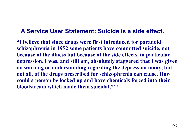## **A Service User Statement: Suicide is a side effect.**

**"I believe that since drugs were first introduced for paranoid schizophrenia in 1952 some patients have committed suicide, not because of the illness but because of the side effects, in particular depression. I was, and still am, absolutely staggered that I was given no warning or understanding regarding the depression many, but not all, of the drugs prescribed for schizophrenia can cause. How could a person be locked up and have chemicals forced into their bloodstream which made them suicidal?" 31**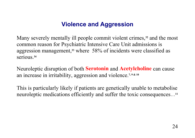## **Violence and Aggression**

Many severely mentally ill people commit violent crimes,**<sup>32</sup>** and the most common reason for Psychiatric Intensive Care Unit admissions is aggression management, **<sup>33</sup>** where 58% of incidents were classified as serious.**<sup>34</sup>**

Neuroleptic disruption of both **Serotonin** and **Acetylcholine** can cause an increase in irritability, aggression and violence.**7, 9 & 10**

This is particularly likely if patients are genetically unable to metabolise neuroleptic medications efficiently and suffer the toxic consequences…**11**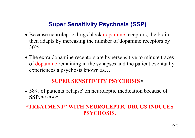## **Super Sensitivity Psychosis (SSP)**

- Because neuroleptic drugs block dopamine receptors, the brain then adapts by increasing the number of dopamine receptors by  $30\%$ .
- The extra dopamine receptors are hypersensitive to minute traces of dopamine remaining in the synapses and the patient eventually experiences a psychosis known as…

#### **SUPER SENSITIVITY PSYCHOSIS<sup>35</sup>**

• 58% of patients 'relapse' on neuroleptic medication because of **SSP. 36, 37, 38 & 39**

#### **"TREATMENT" WITH NEUROLEPTIC DRUGS INDUCES PSYCHOSIS.**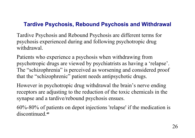#### **Tardive Psychosis, Rebound Psychosis and Withdrawal**

Tardive Psychosis and Rebound Psychosis are different terms for psychosis experienced during and following psychotropic drug withdrawal.

Patients who experience a psychosis when withdrawing from psychotropic drugs are viewed by psychiatrists as having a 'relapse'. The "schizophrenia" is perceived as worsening and considered proof that the "schizophrenic" patient needs antipsychotic drugs.

However in psychotropic drug withdrawal the brain's nerve ending receptors are adjusting to the reduction of the toxic chemicals in the synapse and a tardive/rebound psychosis ensues.

60%-80% of patients on depot injections 'relapse' if the medication is discontinued.**40**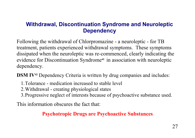#### **Withdrawal, Discontinuation Syndrome and Neuroleptic Dependency**

Following the withdrawal of Chlorpromazine - a neuroleptic - for TB treatment, patients experienced withdrawal symptoms. These symptoms dissipated when the neuroleptic was re-commenced, clearly indicating the evidence for Discontinuation Syndrome**<sup>41</sup>** in association with neuroleptic dependency.

**DSM IV<sup>42</sup>** Dependency Criteria is written by drug companies and includes:

- 1.Tolerance medication increased to stable level
- 2.Withdrawal creating physiological states
- 3.Progressive neglect of interests because of psychoactive substance used.

This information obscures the fact that:

#### **Psychotropic Drugs are Psychoactive Substances**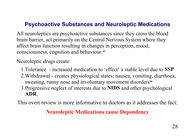#### **Psychoactive Substances and Neuroleptic Medications**

All neuroleptics are psychoactive substances since they cross the blood brain barrier, act primarily on the Central Nervous System where they affect brain function resulting in changes in perception, mood, consciousness, cognition and behaviour.**<sup>43</sup>**

Neuroleptic drugs create:

- 1.Tolerance increased medication to 'effect' a stable level due to **SSP**
- 2.Withdrawal creates physiological states: nausea, vomiting, diarrhoea, sweating, runny nose and involuntary movement disorders**<sup>44</sup>**
- 3.Progressive neglect of interests due to **NIDS** and other psychological **ADR**.

This overt review is more informative to doctors as it addresses the fact:

#### **Neuroleptic Medications cause Dependency**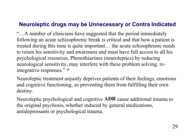#### **Neuroleptic drugs may be Unnecessary or Contra Indicated**

"…A number of clinicians have suggested that the period immediately following an acute schizophrenic break is critical and that how a patient is treated during this time is quite important… the acute schizophrenic needs to retain his sensitivity and awareness and must have full access to all his psychological resources. Phenothiazines (neuroleptics) by reducing neurological sensitivity, may interfere with these problem solving, reintegrative responses." **<sup>45</sup>**

Neuroleptic treatment unjustly deprives patients of their feelings, emotions and cognitive functioning, so preventing them from fulfilling their own destiny.

Neuroleptic psychological and cognitive **ADR** cause additional trauma to the original psychosis, whether induced by general medications, antidepressants or psychological trauma.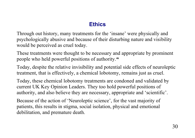#### **Ethics**

Through out history, many treatments for the 'insane' were physically and psychologically abusive and because of their disturbing nature and visibility would be perceived as cruel today.

These treatments were thought to be necessary and appropriate by prominent people who held powerful positions of authority.**<sup>46</sup>**

Today, despite the relative invisibility and potential side effects of neuroleptic treatment, that is effectively, a chemical lobotomy, remains just as cruel.

Today, these chemical lobotomy treatments are condoned and validated by current UK Key Opinion Leaders. They too hold powerful positions of authority, and also believe they are necessary, appropriate and 'scientific'.

Because of the action of 'Neuroleptic science', for the vast majority of patients, this results in stigma, social isolation, physical and emotional debilitation, and premature death.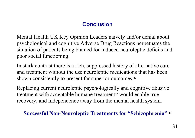## **Conclusion**

Mental Health UK Key Opinion Leaders naivety and/or denial about psychological and cognitive Adverse Drug Reactions perpetuates the situation of patients being blamed for induced neuroleptic deficits and poor social functioning.

In stark contrast there is a rich, suppressed history of alternative care and treatment without the use neuroleptic medications that has been shown consistently to present far superior outcomes.**<sup>47</sup>**

Replacing current neuroleptic psychologically and cognitive abusive treatment with acceptable humane treatment**<sup>47</sup>** would enable true recovery, and independence away from the mental health system.

#### **Successful Non-Neuroleptic Treatments for "Schizophrenia" <sup>47</sup>**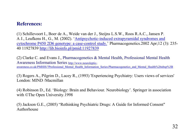#### **References:**

(1) Schillevoort I., Boer de A., Weide van der J., Steijns L.S.W., Roos R.A.C., Jansen P. A J., Leufkens H., G., M. (2002). 'Antipsychotic-induced extrapyramidal syndromes and cytochrome P450 2D6 genotype: a case-control study.' Pharmacogenetics.2002 Apr;12 (3): 235- 40 11927839 http://lib.bioinfo.pl/pmid:11927839

(2) Clarke C. and Evans J., Pharmacogenetics & Mental Health, Professional Mental Health Awareness Information Series http://www.neuroleptic awareness.co.uk/PMHIS/?Professional\_Mental\_Health\_Information\_Series:Pharmacogenetics\_and\_Mental\_Health%26nbsp%3B

(3) Rogers A., Pilgrim D., Lacey R., (1993) 'Experiencing Psychiatry: Users views of services' London: MIND /Macmillan

(4) Robinson D., Ed. 'Biology: Brain and Behaviour. Neurobiology'. Springer in association with ©The Open University.1998

(5) Jackson G.E., (2005) "Rethinking Psychiatric Drugs: A Guide for Informed Consent" Authorhouse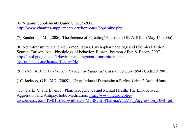(6) Vitamin Supplements Guide © 2005-2006 http://www.vitamins-supplements.org/hormones/dopamine.php

(7) Sunderland M., (2006) 'The Science of Parenting' Publisher: DK ADULT (May 15, 2006)

(8) Neurotransmitters and Neuromodulators. Psychopharmacology and Chemical Action. Source: Carlson, Neil. Physiology of behavior. Boston: Pearson Allyn & Bacon, 2007. http://knol.google.com/k/kevin-spaulding/neurotransmitters-and neuromodulators/3smazt4fj02nv/74#

(9) Tracy, A.B.Ph.D: *Prozac: Panacea or Pandora?* Cassia Pub (Jun 1994) Updated 2001

(10) Jackson, G.E., MD. (2009), "Drug-Induced Dementia: a Perfect Crime" AuthorHouse

(11) Clarke C. and Evans J., Pharmacogenetics and Mental Health. The Link between Aggression and Antipsychotic Medication. http://www.neuroleptic awareness.co.uk/PMHIS/?download=PMHIS%20PharmaAndMH\_Aggression\_BME.pdf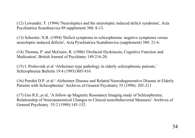(12) Lewander, T. (1994) 'Neuroleptics and the neuroleptic induced deficit syndrome', Acta Psychiatrica Scandinavica 89 supplement 380: 8-13.

(13) Schooler, N.R. (1994) 'Deficit symptoms in schizophrenia: negative symptoms versus neuroleptic-induced deficits', Acta Pyschiatrica Scandinavica (supplement) 380: 21-6.

(14) Thomas, P. and McGuire, R. (1986) 'Orofacial Dyskinesia, Cognitive Function and Medication', British Journal of Psychiatry 149:216-20.

(15) I. Prohovnik et al 'Alzheimer-type pathology in elderly schizophrenic patients.' Schizophrenia Bulletin 19:4 (1993):805-816

(16) Purohit D.P. et al ' Alzheimer Disease and Related Neurodegenerative Disease in Elderly Patients with Schizophrenia' Archives of General Psychiatry 55 (1998): 205-211

(17) Gur R.E.,et al, 'A follow up Magnetic Resonance Imaging study of Schizophrenia; Relationship of Neuroanatomical Changes to Clinical neurobehavioral Measures' Archives of General Psychiatry 55:2 (1998):145-152.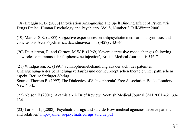(18) Breggin R. B. (2006) Intoxication Ansognosia: The Spell Binding Effect of Psychiatric Drugs Ethical Human Psychology and Psychiatry. Vol 8, Number 3 Fall/Winter 2006

(19) Marder S.R. (2005) Subjective experiences on antipsychotic medications: synthesis and conclusions Acta Psychiatrica Scandinavica 111 (s427) , 43–46

(20) De Alarcon, R. and Carney, M.W.P. (1969) 'Severe depressive mood changes following slow release intramuscular fluphenazine injection', British Medical Journal iii: 546-7.

(21) Windgassen, K. (1991) Schizophreniebehandlung aus der sicht des pateinten. Untersuchungen des behandlungsverlaufes und der neuroleptischen therapie unter pathischem aspekt. Berlin: Springer-Verlag.

Source: Thomas P. (1997) The Dialectics of Schizophrenia' Free Association Books London/ New York.

(22) Nelson E (2001) 'Akathisia - A Brief Review' Scottish Medical Journal SMJ 2001;46: 133- 134

(23) Larrson J., (2008) 'Psychiatric drugs and suicide How medical agencies deceive patients and relatives' http://jannel.se/psychiatricdrugs.suicide.pdf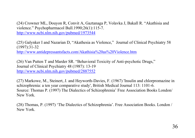(24) Crowner ML, Douyon R, Convit A, Gaztanaga P, Volavka J, Bakall R. "Akathisia and violence." Psychopharmacol Bull.1990;26(1):115-7. http://www.ncbi.nlm.nih.gov/pubmed/1973544

(25) Galynker I and Nazarian D, "Akathesia as Violence," Journal of Clinical Psychiatry 58 (1997):31-32 http://www.antidepressantsfacts.com/Akathisia%20as%20Violence.htm

(26) Van Putten T and Marder SR. "Behavioral Toxicity of Anti-psychotic Drugs," Journal of Clinical Psychiatry 48 (1987): 13-19 http://www.ncbi.nlm.nih.gov/pubmed/2887552

(27) Markowe, M., Steinert, J. and Heyworth-Davies, F. (1967) 'Insulin and chlorpromazine in schizophrenia: a ten year comparative study', British Medical Journal 113: 1101-6. Source: Thomas P. (1997) The Dialectics of Schizophrenia' Free Association Books London/ New York.

(28) Thomas, P. (1997) 'The Dialectics of Schizophrenia'. Free Association Books. London / New York.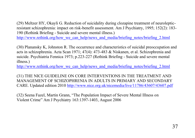(29) Meltzer HY, Okayli G. Reduction of suicidality during clozapine treatment of neurolepticresistant schizophrenia: impact on risk-benefit assessment. Am J Psychiatry, 1995; 152(2): 183- 190 (Rethink Briefing - Suicide and severe mental illness.)

http://www.rethink.org/how\_we\_can\_help/news\_and\_media/briefing\_notes/briefing\_2.html

(30) Planansky K, Johnston R. The occurrence and characteristics of suicidal preoccupation and acts in schizophrenia. Acta Scan 1971; 47(4): 473-483 & Niskanen, et al. Schizophrenia and suicide. Psychiatria Fennica 1973; p.223-227 (Rethink Briefing - Suicide and severe mental illness.)

http://www.rethink.org/how\_we\_can\_help/news\_and\_media/briefing\_notes/briefing\_2.html

(31) THE NICE GUIDELINE ON CORE INTERVENTIONS IN THE TREATMENT AND MANAGEMENT OF SCHIZOPHRENIA IN ADULTS IN PRIMARY AND SECONDARY CARE. Updated edition 2010 http://www.nice.org.uk/nicemedia/live/11786/43607/43607.pdf

(32) Seena Fazel, Martin Grann, "The Population Impact of Severe Mental Illness on Violent Crime" Am J Psychiatry 163:1397-1403, August 2006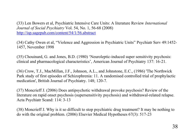(33) Len Bowers et al, Psychiatric Intensive Care Units: A literature Review *International Journal of Social Psychiatry* Vol. 54, No. 1, 56-68 (2008) http://isp.sagepub.com/content/54/1/56.abstract

(34) Cathy Owen et al, "Violence and Aggression in Psychiatric Units" Psychiatr Serv 49:1452- 1457, November 1998

(35) Chouinard, G. and Jones, B.D. (1980) 'Neuroleptic-induced super sensitivity psychosis: clinical and pharmacological characteristics', American Journal of Psychiatry 137: 16-21.

(36) Crow, T.J., MacMillan, J.F., Johnson, A.L., and Johnstone, E.C., (1986) 'The Northwick Park study of first episodes of Schizophrenia: 11. A randomised controlled trial of prophylactic medication', British Journal of Psychiatry. 148; 120-7.

(37) Moncrieff J. (2006) Does antipsychotic withdrawal provoke psychosis? Review of the literature on rapid onset psychosis (supersensitivity psychosis) and withdrawal-related relapse. Acta Psychiatr Scand: 114: 3-13

(38) Moncrieff J. Why is it so difficult to stop psychiatric drug treatment? It may be nothing to do with the original problem. (2006) Elsevier Medical Hypotheses 67(3): 517-23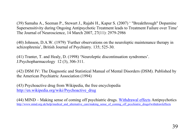(39) Samaha A., Seeman P., Stewart J., Rajabi H., Kapur S. (2007) ' "Breakthrough" Dopamine Supersensitivity during Ongoing Antipsychotic Treatment leads to Treatment Failure over Time' The Journal of Neuroscience, 14 March 2007, 27(11): 2979-2986

(40) Johnson, D.A.W. (1979) 'Further observations on the neuroleptic maintenance therapy in schizophrenia', British Journal of Psychiatry. 135; 525-30.

(41) Tranter, T. and Healy, D. (1998) 'Neuroleptic discontinuation syndromes'. J.Psychopharmacology 12 (3), 306-311.

(42) DSM IV: The Diagnostic and Statistical Manual of Mental Disorders (DSM). Published by the American Psychiatric Association (1994)

(43) Psychoactive drug from Wikipedia, the free encyclopedia http://en.wikipedia.org/wiki/Psychoactive\_drug

(44) MIND – Making sense of coming off psychiatric drugs. Withdrawal effects Antipsychotics http://www.mind.org.uk/help/medical\_and\_alternative\_care/making\_sense\_of\_coming\_off\_psychiatric\_drugs#withdrawleffects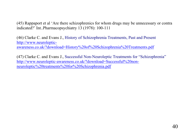(45) Rappaport et al 'Are there schizophrenics for whom drugs may be unnecessary or contra indicated?' Int..Pharmacopsychiatry 13 (1978): 100-111

(46) Clarke C. and Evans J., History of Schizophrenia Treatments, Past and Present http://www.neuroleptic awareness.co.uk/?download=History%20of%20Schizophrenia%20Treatments.pdf

(47) Clarke C. and Evans J., Successful Non-Neuroleptic Treatments for "Schizophrenia" http://www.neuroleptic-awareness.co.uk/?download=Successful%20non neuroleptic%20treatments%20for%20Schizophrenia.pdf